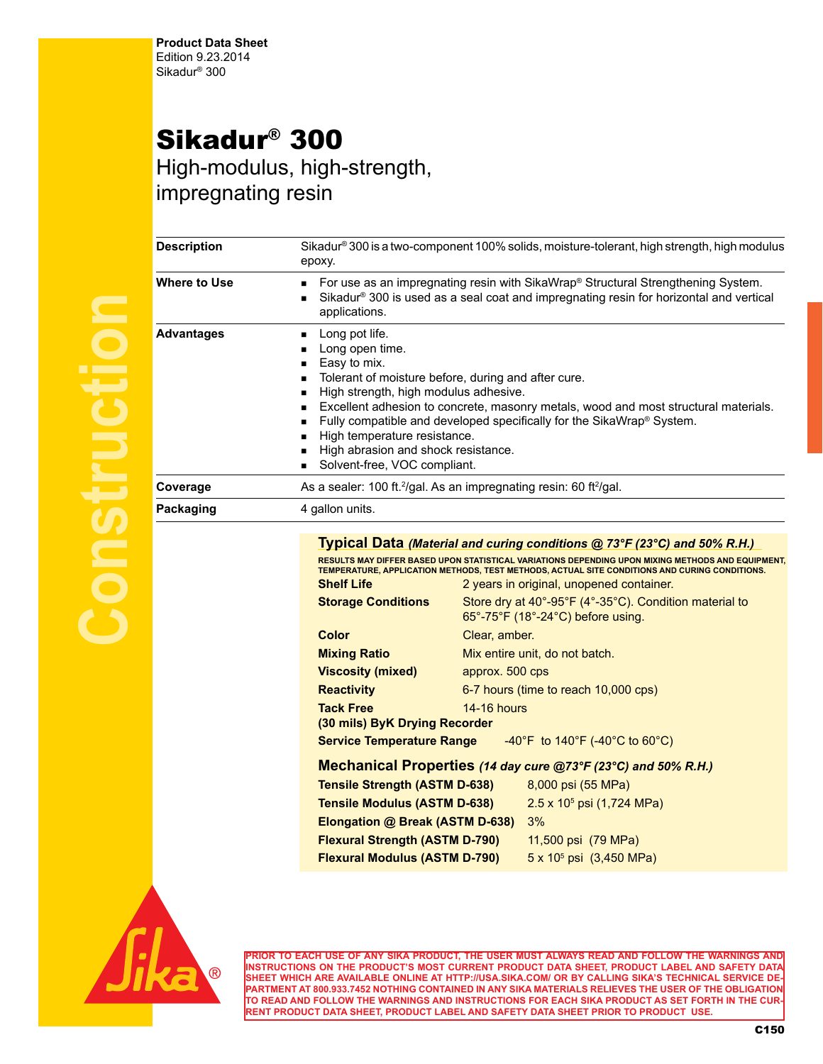## Sikadur® 300

High-modulus, high-strength, impregnating resin

| <b>Description</b>  |
|---------------------|
| <b>Where to Use</b> |
|                     |
| <b>Advantages</b>   |
|                     |
|                     |
|                     |
|                     |
|                     |
| Coverage            |
| Packaging           |
|                     |
|                     |
|                     |
|                     |
|                     |
|                     |

| Description       | Sikadur® 300 is a two-component 100% solids, moisture-tolerant, high strength, high modulus<br>epoxy.                                                                                                                                                                                                                                                                                                                                                                                 |                                                                                                                                                                                                                                                |  |
|-------------------|---------------------------------------------------------------------------------------------------------------------------------------------------------------------------------------------------------------------------------------------------------------------------------------------------------------------------------------------------------------------------------------------------------------------------------------------------------------------------------------|------------------------------------------------------------------------------------------------------------------------------------------------------------------------------------------------------------------------------------------------|--|
| Where to Use      | For use as an impregnating resin with SikaWrap® Structural Strengthening System.<br>٠<br>Sikadur <sup>®</sup> 300 is used as a seal coat and impregnating resin for horizontal and vertical<br>$\blacksquare$<br>applications.                                                                                                                                                                                                                                                        |                                                                                                                                                                                                                                                |  |
| <b>Advantages</b> | Long pot life.<br>Long open time.<br>п<br>Easy to mix.<br>٠<br>Tolerant of moisture before, during and after cure.<br>$\blacksquare$<br>High strength, high modulus adhesive.<br>٠<br>Excellent adhesion to concrete, masonry metals, wood and most structural materials.<br>٠<br>Fully compatible and developed specifically for the SikaWrap® System.<br>٠<br>High temperature resistance.<br>$\blacksquare$<br>High abrasion and shock resistance.<br>Solvent-free, VOC compliant. |                                                                                                                                                                                                                                                |  |
| Coverage          |                                                                                                                                                                                                                                                                                                                                                                                                                                                                                       | As a sealer: 100 ft. <sup>2</sup> /gal. As an impregnating resin: 60 ft <sup>2</sup> /gal.                                                                                                                                                     |  |
| Packaging         | 4 gallon units.                                                                                                                                                                                                                                                                                                                                                                                                                                                                       | Typical Data (Material and curing conditions @ 73°F (23°C) and 50% R.H.)                                                                                                                                                                       |  |
|                   | <b>Shelf Life</b>                                                                                                                                                                                                                                                                                                                                                                                                                                                                     | RESULTS MAY DIFFER BASED UPON STATISTICAL VARIATIONS DEPENDING UPON MIXING METHODS AND EQUIPMENT,<br>TEMPERATURE, APPLICATION METHODS, TEST METHODS, ACTUAL SITE CONDITIONS AND CURING CONDITIONS.<br>2 years in original, unopened container. |  |
|                   | <b>Storage Conditions</b>                                                                                                                                                                                                                                                                                                                                                                                                                                                             | Store dry at 40°-95°F (4°-35°C). Condition material to<br>65°-75°F (18°-24°C) before using.                                                                                                                                                    |  |
|                   | Color                                                                                                                                                                                                                                                                                                                                                                                                                                                                                 | Clear, amber.                                                                                                                                                                                                                                  |  |
|                   | <b>Mixing Ratio</b>                                                                                                                                                                                                                                                                                                                                                                                                                                                                   | Mix entire unit, do not batch.                                                                                                                                                                                                                 |  |
|                   | <b>Viscosity (mixed)</b>                                                                                                                                                                                                                                                                                                                                                                                                                                                              | approx. 500 cps                                                                                                                                                                                                                                |  |
|                   | <b>Reactivity</b>                                                                                                                                                                                                                                                                                                                                                                                                                                                                     | 6-7 hours (time to reach 10,000 cps)                                                                                                                                                                                                           |  |
|                   | <b>Tack Free</b><br>(30 mils) ByK Drying Recorder                                                                                                                                                                                                                                                                                                                                                                                                                                     | <b>14-16 hours</b>                                                                                                                                                                                                                             |  |
|                   | <b>Service Temperature Range</b>                                                                                                                                                                                                                                                                                                                                                                                                                                                      | -40°F to 140°F (-40°C to 60°C)                                                                                                                                                                                                                 |  |
|                   |                                                                                                                                                                                                                                                                                                                                                                                                                                                                                       | Mechanical Properties (14 day cure @73°F (23°C) and 50% R.H.)                                                                                                                                                                                  |  |
|                   | <b>Tensile Strength (ASTM D-638)</b>                                                                                                                                                                                                                                                                                                                                                                                                                                                  | 8,000 psi (55 MPa)                                                                                                                                                                                                                             |  |
|                   | <b>Tensile Modulus (ASTM D-638)</b>                                                                                                                                                                                                                                                                                                                                                                                                                                                   | $2.5 \times 10^5$ psi (1,724 MPa)                                                                                                                                                                                                              |  |
|                   | Elongation @ Break (ASTM D-638)                                                                                                                                                                                                                                                                                                                                                                                                                                                       | 3%                                                                                                                                                                                                                                             |  |
|                   | <b>Flexural Strength (ASTM D-790)</b>                                                                                                                                                                                                                                                                                                                                                                                                                                                 | 11,500 psi (79 MPa)                                                                                                                                                                                                                            |  |
|                   | <b>Flexural Modulus (ASTM D-790)</b>                                                                                                                                                                                                                                                                                                                                                                                                                                                  | $5 \times 10^5$ psi (3,450 MPa)                                                                                                                                                                                                                |  |
|                   |                                                                                                                                                                                                                                                                                                                                                                                                                                                                                       |                                                                                                                                                                                                                                                |  |



**PRIOR TO EACH USE OF ANY SIKA PRODUCT, THE USER MUST ALWAYS READ AND FOLLOW THE WARNINGS AND INSTRUCTIONS ON THE PRODUCT'S MOST CURRENT PRODUCT DATA SHEET, PRODUCT LABEL AND SAFETY DATA SHEET WHICH ARE AVAILABLE ONLINE AT HTTP://USA.SIKA.COM/ OR BY CALLING SIKA'S TECHNICAL SERVICE DE-PARTMENT AT 800.933.7452 NOTHING CONTAINED IN ANY SIKA MATERIALS RELIEVES THE USER OF THE OBLIGATION TO READ AND FOLLOW THE WARNINGS AND INSTRUCTIONS FOR EACH SIKA PRODUCT AS SET FORTH IN THE CUR-RENT PRODUCT DATA SHEET, PRODUCT LABEL AND SAFETY DATA SHEET PRIOR TO PRODUCT USE.**